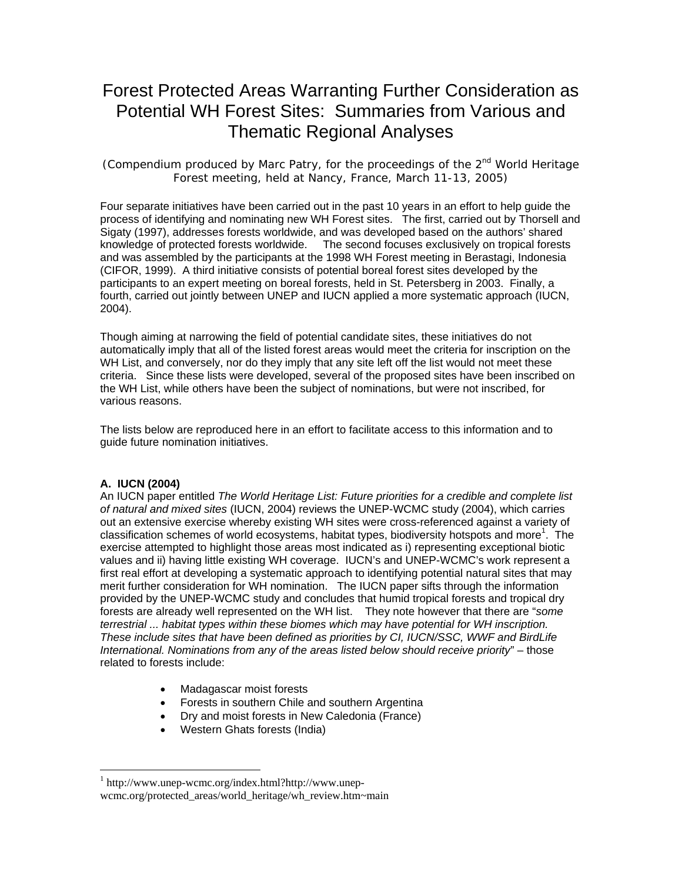# Forest Protected Areas Warranting Further Consideration as Potential WH Forest Sites: Summaries from Various and Thematic Regional Analyses

(Compendium produced by Marc Patry, for the proceedings of the  $2^{nd}$  World Heritage Forest meeting, held at Nancy, France, March 11-13, 2005)

Four separate initiatives have been carried out in the past 10 years in an effort to help guide the process of identifying and nominating new WH Forest sites. The first, carried out by Thorsell and Sigaty (1997), addresses forests worldwide, and was developed based on the authors' shared knowledge of protected forests worldwide. The second focuses exclusively on tropical forests and was assembled by the participants at the 1998 WH Forest meeting in Berastagi, Indonesia (CIFOR, 1999). A third initiative consists of potential boreal forest sites developed by the participants to an expert meeting on boreal forests, held in St. Petersberg in 2003. Finally, a fourth, carried out jointly between UNEP and IUCN applied a more systematic approach (IUCN, 2004).

Though aiming at narrowing the field of potential candidate sites, these initiatives do not automatically imply that all of the listed forest areas would meet the criteria for inscription on the WH List, and conversely, nor do they imply that any site left off the list would not meet these criteria. Since these lists were developed, several of the proposed sites have been inscribed on the WH List, while others have been the subject of nominations, but were not inscribed, for various reasons.

The lists below are reproduced here in an effort to facilitate access to this information and to guide future nomination initiatives.

#### **A. IUCN (2004)**

 $\overline{a}$ 

An IUCN paper entitled *The World Heritage List: Future priorities for a credible and complete list of natural and mixed sites* (IUCN, 2004) reviews the UNEP-WCMC study (2004), which carries out an extensive exercise whereby existing WH sites were cross-referenced against a variety of classification schemes of world ecosystems, habitat types, biodiversity hotspots and more<sup>1</sup>. The exercise attempted to highlight those areas most indicated as i) representing exceptional biotic values and ii) having little existing WH coverage. IUCN's and UNEP-WCMC's work represent a first real effort at developing a systematic approach to identifying potential natural sites that may merit further consideration for WH nomination. The IUCN paper sifts through the information provided by the UNEP-WCMC study and concludes that humid tropical forests and tropical dry forests are already well represented on the WH list. They note however that there are "*some terrestrial ... habitat types within these biomes which may have potential for WH inscription. These include sites that have been defined as priorities by CI, IUCN/SSC, WWF and BirdLife International. Nominations from any of the areas listed below should receive priority*" – those related to forests include:

- Madagascar moist forests
- Forests in southern Chile and southern Argentina
- Dry and moist forests in New Caledonia (France)
- Western Ghats forests (India)

<sup>1</sup> http://www.unep-wcmc.org/index.html?http://www.unepwcmc.org/protected\_areas/world\_heritage/wh\_review.htm~main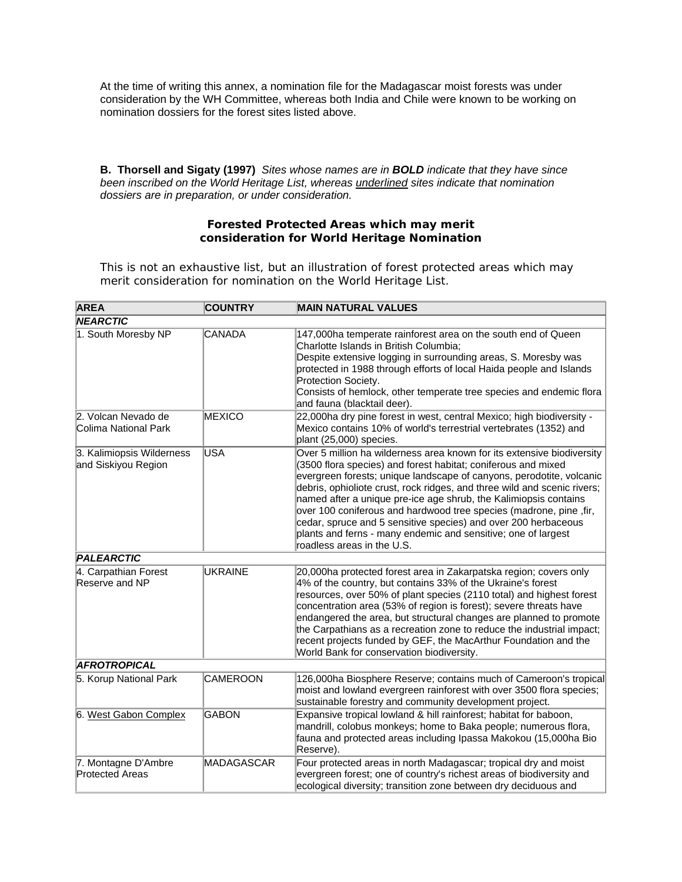At the time of writing this annex, a nomination file for the Madagascar moist forests was under consideration by the WH Committee, whereas both India and Chile were known to be working on nomination dossiers for the forest sites listed above.

**B. Thorsell and Sigaty (1997)** *Sites whose names are in BOLD indicate that they have since been inscribed on the World Heritage List, whereas underlined sites indicate that nomination dossiers are in preparation, or under consideration.* 

#### **Forested Protected Areas which may merit consideration for World Heritage Nomination**

This is not an exhaustive list, but an illustration of forest protected areas which may merit consideration for nomination on the World Heritage List.

| <b>AREA</b>                                      | <b>COUNTRY</b>  | <b>MAIN NATURAL VALUES</b>                                                                                                                                                                                                                                                                                                                                                                                                                                                                                                                                                                             |
|--------------------------------------------------|-----------------|--------------------------------------------------------------------------------------------------------------------------------------------------------------------------------------------------------------------------------------------------------------------------------------------------------------------------------------------------------------------------------------------------------------------------------------------------------------------------------------------------------------------------------------------------------------------------------------------------------|
| <b>NEARCTIC</b>                                  |                 |                                                                                                                                                                                                                                                                                                                                                                                                                                                                                                                                                                                                        |
| 1. South Moresby NP                              | <b>CANADA</b>   | 147,000ha temperate rainforest area on the south end of Queen<br>Charlotte Islands in British Columbia;<br>Despite extensive logging in surrounding areas, S. Moresby was<br>protected in 1988 through efforts of local Haida people and Islands<br>Protection Society.<br>Consists of hemlock, other temperate tree species and endemic flora<br>and fauna (blacktail deer).                                                                                                                                                                                                                          |
| 2. Volcan Nevado de<br>Colima National Park      | <b>MEXICO</b>   | 22,000ha dry pine forest in west, central Mexico; high biodiversity -<br>Mexico contains 10% of world's terrestrial vertebrates (1352) and<br>plant (25,000) species.                                                                                                                                                                                                                                                                                                                                                                                                                                  |
| 3. Kalimiopsis Wilderness<br>and Siskiyou Region | <b>USA</b>      | Over 5 million ha wilderness area known for its extensive biodiversity<br>(3500 flora species) and forest habitat; coniferous and mixed<br>evergreen forests; unique landscape of canyons, perodotite, volcanic<br>debris, ophioliote crust, rock ridges, and three wild and scenic rivers;<br>named after a unique pre-ice age shrub, the Kalimiopsis contains<br>over 100 coniferous and hardwood tree species (madrone, pine, fir,<br>cedar, spruce and 5 sensitive species) and over 200 herbaceous<br>plants and ferns - many endemic and sensitive; one of largest<br>roadless areas in the U.S. |
| <b>PALEARCTIC</b>                                |                 |                                                                                                                                                                                                                                                                                                                                                                                                                                                                                                                                                                                                        |
| 4. Carpathian Forest<br>Reserve and NP           | <b>UKRAINE</b>  | 20,000ha protected forest area in Zakarpatska region; covers only<br>4% of the country, but contains 33% of the Ukraine's forest<br>resources, over 50% of plant species (2110 total) and highest forest<br>concentration area (53% of region is forest); severe threats have<br>endangered the area, but structural changes are planned to promote<br>the Carpathians as a recreation zone to reduce the industrial impact;<br>recent projects funded by GEF, the MacArthur Foundation and the<br>World Bank for conservation biodiversity.                                                           |
| <b>AFROTROPICAL</b>                              |                 |                                                                                                                                                                                                                                                                                                                                                                                                                                                                                                                                                                                                        |
| 5. Korup National Park                           | <b>CAMEROON</b> | 126,000ha Biosphere Reserve; contains much of Cameroon's tropical<br>moist and lowland evergreen rainforest with over 3500 flora species;<br>sustainable forestry and community development project.                                                                                                                                                                                                                                                                                                                                                                                                   |
| 6. West Gabon Complex                            | GABON           | Expansive tropical lowland & hill rainforest; habitat for baboon,<br>mandrill, colobus monkeys; home to Baka people; numerous flora,<br>fauna and protected areas including Ipassa Makokou (15,000ha Bio<br>Reserve).                                                                                                                                                                                                                                                                                                                                                                                  |
| 7. Montagne D'Ambre<br><b>Protected Areas</b>    | MADAGASCAR      | Four protected areas in north Madagascar; tropical dry and moist<br>evergreen forest; one of country's richest areas of biodiversity and<br>ecological diversity; transition zone between dry deciduous and                                                                                                                                                                                                                                                                                                                                                                                            |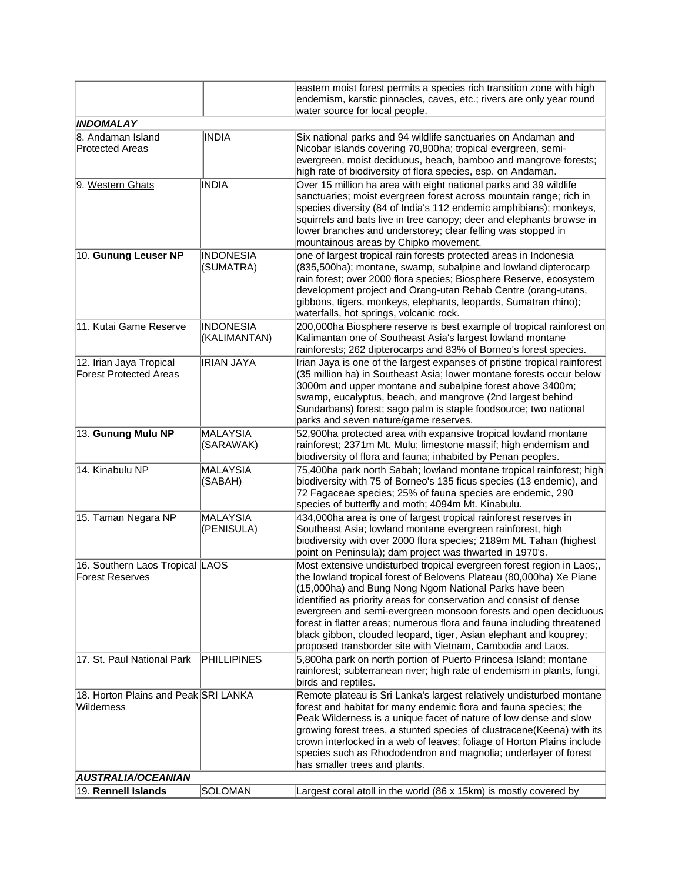|                                                          |                                  | eastern moist forest permits a species rich transition zone with high<br>endemism, karstic pinnacles, caves, etc.; rivers are only year round<br>water source for local people.                                                                                                                                                                                                                                                                                                                                                                              |
|----------------------------------------------------------|----------------------------------|--------------------------------------------------------------------------------------------------------------------------------------------------------------------------------------------------------------------------------------------------------------------------------------------------------------------------------------------------------------------------------------------------------------------------------------------------------------------------------------------------------------------------------------------------------------|
| <b>INDOMALAY</b>                                         |                                  |                                                                                                                                                                                                                                                                                                                                                                                                                                                                                                                                                              |
| 8. Andaman Island<br><b>Protected Areas</b>              | INDIA                            | Six national parks and 94 wildlife sanctuaries on Andaman and<br>Nicobar islands covering 70,800ha; tropical evergreen, semi-<br>evergreen, moist deciduous, beach, bamboo and mangrove forests;<br>high rate of biodiversity of flora species, esp. on Andaman.                                                                                                                                                                                                                                                                                             |
| 9. Western Ghats                                         | INDIA                            | Over 15 million ha area with eight national parks and 39 wildlife<br>sanctuaries; moist evergreen forest across mountain range; rich in<br>species diversity (84 of India's 112 endemic amphibians); monkeys,<br>squirrels and bats live in tree canopy; deer and elephants browse in<br>lower branches and understorey; clear felling was stopped in<br>mountainous areas by Chipko movement.                                                                                                                                                               |
| 10. Gunung Leuser NP                                     | <b>INDONESIA</b><br>(SUMATRA)    | one of largest tropical rain forests protected areas in Indonesia<br>(835,500ha); montane, swamp, subalpine and lowland dipterocarp<br>rain forest; over 2000 flora species; Biosphere Reserve, ecosystem<br>development project and Orang-utan Rehab Centre (orang-utans,<br>gibbons, tigers, monkeys, elephants, leopards, Sumatran rhino);<br>waterfalls, hot springs, volcanic rock.                                                                                                                                                                     |
| 11. Kutai Game Reserve                                   | <b>INDONESIA</b><br>(KALIMANTAN) | 200,000ha Biosphere reserve is best example of tropical rainforest on<br>Kalimantan one of Southeast Asia's largest lowland montane<br>rainforests; 262 dipterocarps and 83% of Borneo's forest species.                                                                                                                                                                                                                                                                                                                                                     |
| 12. Irian Jaya Tropical<br><b>Forest Protected Areas</b> | <b>IRIAN JAYA</b>                | Irian Jaya is one of the largest expanses of pristine tropical rainforest<br>(35 million ha) in Southeast Asia; lower montane forests occur below<br>3000m and upper montane and subalpine forest above 3400m;<br>swamp, eucalyptus, beach, and mangrove (2nd largest behind<br>Sundarbans) forest; sago palm is staple foodsource; two national<br>parks and seven nature/game reserves.                                                                                                                                                                    |
| 13. Gunung Mulu NP                                       | MALAYSIA<br>(SARAWAK)            | 52,900ha protected area with expansive tropical lowland montane<br>rainforest; 2371m Mt. Mulu; limestone massif; high endemism and<br>biodiversity of flora and fauna; inhabited by Penan peoples.                                                                                                                                                                                                                                                                                                                                                           |
| 14. Kinabulu NP                                          | MALAYSIA<br>(SABAH)              | 75,400ha park north Sabah; lowland montane tropical rainforest; high<br>biodiversity with 75 of Borneo's 135 ficus species (13 endemic), and<br>72 Fagaceae species; 25% of fauna species are endemic, 290<br>species of butterfly and moth; 4094m Mt. Kinabulu.                                                                                                                                                                                                                                                                                             |
| 15. Taman Negara NP                                      | MALAYSIA<br>(PENISULA)           | 434,000ha area is one of largest tropical rainforest reserves in<br>Southeast Asia; lowland montane evergreen rainforest, high<br>biodiversity with over 2000 flora species; 2189m Mt. Tahan (highest<br>point on Peninsula); dam project was thwarted in 1970's.                                                                                                                                                                                                                                                                                            |
| 16. Southern Laos Tropical LAOS<br>Forest Reserves       |                                  | Most extensive undisturbed tropical evergreen forest region in Laos;,<br>the lowland tropical forest of Belovens Plateau (80,000ha) Xe Piane<br>(15,000ha) and Bung Nong Ngom National Parks have been<br>identified as priority areas for conservation and consist of dense<br>evergreen and semi-evergreen monsoon forests and open deciduous<br>forest in flatter areas; numerous flora and fauna including threatened<br>black gibbon, clouded leopard, tiger, Asian elephant and kouprey;<br>proposed transborder site with Vietnam, Cambodia and Laos. |
| 17. St. Paul National Park                               | <b>PHILLIPINES</b>               | 5,800ha park on north portion of Puerto Princesa Island; montane<br>rainforest; subterranean river; high rate of endemism in plants, fungi,<br>birds and reptiles.                                                                                                                                                                                                                                                                                                                                                                                           |
| 18. Horton Plains and Peak SRI LANKA<br>Wilderness       |                                  | Remote plateau is Sri Lanka's largest relatively undisturbed montane<br>forest and habitat for many endemic flora and fauna species; the<br>Peak Wilderness is a unique facet of nature of low dense and slow<br>growing forest trees, a stunted species of clustracene(Keena) with its<br>crown interlocked in a web of leaves; foliage of Horton Plains include<br>species such as Rhododendron and magnolia; underlayer of forest<br>has smaller trees and plants.                                                                                        |
| AUSTRALIA/OCEANIAN                                       |                                  |                                                                                                                                                                                                                                                                                                                                                                                                                                                                                                                                                              |
| 19. Rennell Islands                                      | SOLOMAN                          | Largest coral atoll in the world (86 x 15km) is mostly covered by                                                                                                                                                                                                                                                                                                                                                                                                                                                                                            |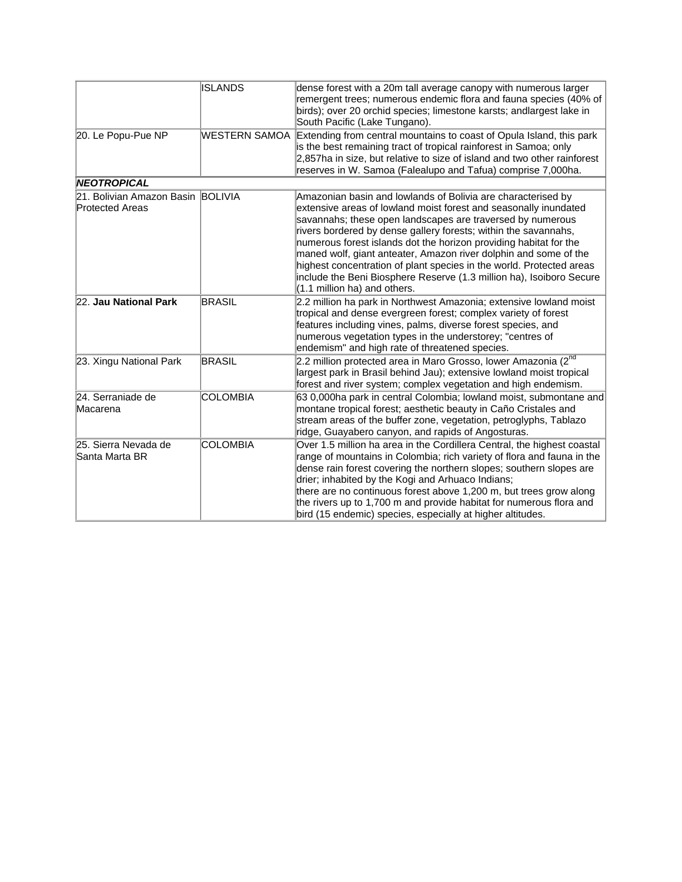|                                                      | <b>ISLANDS</b>  | dense forest with a 20m tall average canopy with numerous larger<br>remergent trees; numerous endemic flora and fauna species (40% of<br>birds); over 20 orchid species; limestone karsts; andlargest lake in<br>South Pacific (Lake Tungano).                                                                                                                                                                                                                                                                                                                                               |
|------------------------------------------------------|-----------------|----------------------------------------------------------------------------------------------------------------------------------------------------------------------------------------------------------------------------------------------------------------------------------------------------------------------------------------------------------------------------------------------------------------------------------------------------------------------------------------------------------------------------------------------------------------------------------------------|
| 20. Le Popu-Pue NP                                   | WESTERN SAMOA   | Extending from central mountains to coast of Opula Island, this park<br>is the best remaining tract of tropical rainforest in Samoa; only<br>2,857ha in size, but relative to size of island and two other rainforest<br>reserves in W. Samoa (Falealupo and Tafua) comprise 7,000ha.                                                                                                                                                                                                                                                                                                        |
| NEOTROPICAL                                          |                 |                                                                                                                                                                                                                                                                                                                                                                                                                                                                                                                                                                                              |
| 21. Bolivian Amazon Basin BOLIVIA<br>Protected Areas |                 | Amazonian basin and lowlands of Bolivia are characterised by<br>extensive areas of lowland moist forest and seasonally inundated<br>savannahs; these open landscapes are traversed by numerous<br>rivers bordered by dense gallery forests; within the savannahs,<br>numerous forest islands dot the horizon providing habitat for the<br>maned wolf, giant anteater, Amazon river dolphin and some of the<br>highest concentration of plant species in the world. Protected areas<br>include the Beni Biosphere Reserve (1.3 million ha), Isoiboro Secure<br>$(1.1$ million ha) and others. |
| 22. Jau National Park                                | <b>BRASIL</b>   | 2.2 million ha park in Northwest Amazonia; extensive lowland moist<br>tropical and dense evergreen forest; complex variety of forest<br>features including vines, palms, diverse forest species, and<br>numerous vegetation types in the understorey; "centres of<br>endemism" and high rate of threatened species.                                                                                                                                                                                                                                                                          |
| 23. Xingu National Park                              | <b>BRASIL</b>   | 2.2 million protected area in Maro Grosso, lower Amazonia (2 <sup>nd</sup><br>largest park in Brasil behind Jau); extensive lowland moist tropical<br>forest and river system; complex vegetation and high endemism.                                                                                                                                                                                                                                                                                                                                                                         |
| 24. Serraniade de<br>Macarena                        | <b>COLOMBIA</b> | 63 0,000ha park in central Colombia; lowland moist, submontane and<br>montane tropical forest; aesthetic beauty in Caño Cristales and<br>stream areas of the buffer zone, vegetation, petroglyphs, Tablazo<br>ridge, Guayabero canyon, and rapids of Angosturas.                                                                                                                                                                                                                                                                                                                             |
| 25. Sierra Nevada de<br>Santa Marta BR               | <b>COLOMBIA</b> | Over 1.5 million ha area in the Cordillera Central, the highest coastal<br>range of mountains in Colombia; rich variety of flora and fauna in the<br>dense rain forest covering the northern slopes; southern slopes are<br>drier; inhabited by the Kogi and Arhuaco Indians;<br>there are no continuous forest above 1,200 m, but trees grow along<br>the rivers up to 1,700 m and provide habitat for numerous flora and<br>bird (15 endemic) species, especially at higher altitudes.                                                                                                     |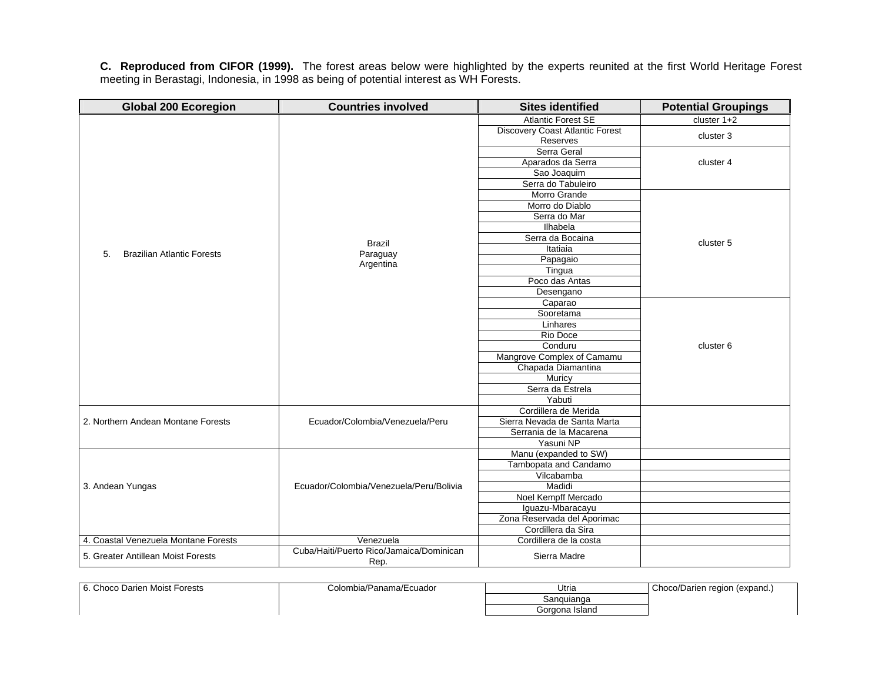**C. Reproduced from CIFOR (1999).** The forest areas below were highlighted by the experts reunited at the first World Heritage Forest meeting in Berastagi, Indonesia, in 1998 as being of potential interest as WH Forests.

| <b>Global 200 Ecoregion</b>          | <b>Countries involved</b>                | <b>Sites identified</b>                | <b>Potential Groupings</b> |
|--------------------------------------|------------------------------------------|----------------------------------------|----------------------------|
|                                      |                                          | <b>Atlantic Forest SE</b>              | cluster $1+2$              |
|                                      |                                          | <b>Discovery Coast Atlantic Forest</b> | cluster 3                  |
|                                      |                                          | Reserves                               |                            |
|                                      |                                          | Serra Geral                            |                            |
|                                      |                                          | Aparados da Serra                      | cluster 4                  |
|                                      |                                          | Sao Joaquim                            |                            |
|                                      |                                          | Serra do Tabuleiro                     |                            |
|                                      |                                          | Morro Grande                           |                            |
|                                      |                                          | Morro do Diablo                        |                            |
|                                      |                                          | Serra do Mar                           |                            |
|                                      |                                          | <b>Ilhabela</b>                        |                            |
|                                      | <b>Brazil</b>                            | Serra da Bocaina                       | cluster 5                  |
| <b>Brazilian Atlantic Forests</b>    |                                          | Itatiaia                               |                            |
| 5.                                   | Paraguay<br>Argentina                    | Papagaio                               |                            |
|                                      |                                          | Tingua                                 |                            |
|                                      |                                          | Poco das Antas                         |                            |
|                                      |                                          | Desengano                              |                            |
|                                      |                                          | Caparao                                |                            |
|                                      |                                          | Sooretama                              |                            |
|                                      |                                          | Linhares                               |                            |
|                                      |                                          | Rio Doce                               |                            |
|                                      |                                          | Conduru                                | cluster 6                  |
|                                      |                                          | Mangrove Complex of Camamu             |                            |
|                                      |                                          | Chapada Diamantina                     |                            |
|                                      |                                          | Muricy                                 |                            |
|                                      |                                          | Serra da Estrela                       |                            |
|                                      |                                          | Yabuti                                 |                            |
|                                      |                                          | Cordillera de Merida                   |                            |
| 2. Northern Andean Montane Forests   | Ecuador/Colombia/Venezuela/Peru          | Sierra Nevada de Santa Marta           |                            |
|                                      |                                          | Serrania de la Macarena                |                            |
|                                      |                                          | Yasuni NP                              |                            |
|                                      |                                          | Manu (expanded to SW)                  |                            |
|                                      |                                          | Tambopata and Candamo                  |                            |
|                                      |                                          | Vilcabamba                             |                            |
| 3. Andean Yungas                     | Ecuador/Colombia/Venezuela/Peru/Bolivia  | Madidi                                 |                            |
|                                      |                                          | Noel Kempff Mercado                    |                            |
|                                      |                                          | Iguazu-Mbaracayu                       |                            |
|                                      |                                          | Zona Reservada del Aporimac            |                            |
|                                      |                                          | Cordillera da Sira                     |                            |
| 4. Coastal Venezuela Montane Forests | Venezuela                                | Cordillera de la costa                 |                            |
| 5. Greater Antillean Moist Forests   | Cuba/Haiti/Puerto Rico/Jamaica/Dominican | Sierra Madre                           |                            |
|                                      | Rep.                                     |                                        |                            |

| Choco Darien Moist Forests<br>… | Colombia/Panama/Ecuador | Utria          | Choco/Darien region (expand.) |
|---------------------------------|-------------------------|----------------|-------------------------------|
|                                 |                         | Sanguianga     |                               |
|                                 |                         | Gorgona Island |                               |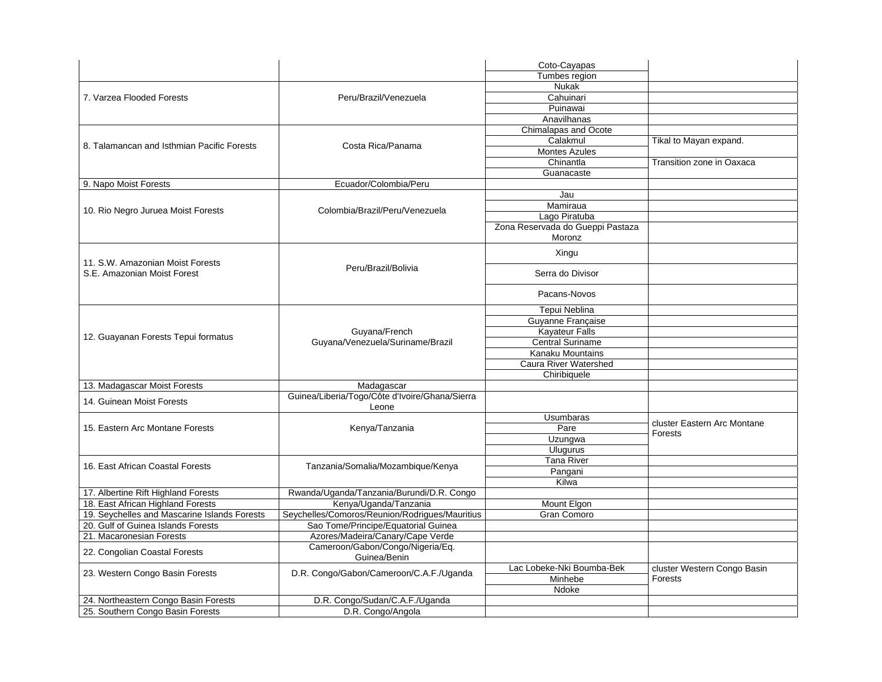|                                              |                                                  | Coto-Cayapas                     |                             |
|----------------------------------------------|--------------------------------------------------|----------------------------------|-----------------------------|
|                                              |                                                  | Tumbes region                    |                             |
|                                              |                                                  | Nukak                            |                             |
| 7. Varzea Flooded Forests                    | Peru/Brazil/Venezuela                            | Cahuinari                        |                             |
|                                              |                                                  | Puinawai                         |                             |
|                                              |                                                  | Anavilhanas                      |                             |
|                                              |                                                  | Chimalapas and Ocote             |                             |
|                                              |                                                  | Calakmul                         | Tikal to Mayan expand.      |
| 8. Talamancan and Isthmian Pacific Forests   | Costa Rica/Panama                                | <b>Montes Azules</b>             |                             |
|                                              |                                                  | Chinantla                        | Transition zone in Oaxaca   |
|                                              |                                                  | Guanacaste                       |                             |
| 9. Napo Moist Forests                        | Ecuador/Colombia/Peru                            |                                  |                             |
|                                              |                                                  | Jau                              |                             |
|                                              |                                                  | Mamiraua                         |                             |
| 10. Rio Negro Juruea Moist Forests           | Colombia/Brazil/Peru/Venezuela                   | Lago Piratuba                    |                             |
|                                              |                                                  | Zona Reservada do Gueppi Pastaza |                             |
|                                              |                                                  | Moronz                           |                             |
|                                              |                                                  |                                  |                             |
| 11. S.W. Amazonian Moist Forests             |                                                  | Xingu                            |                             |
| S.E. Amazonian Moist Forest                  | Peru/Brazil/Bolivia                              | Serra do Divisor                 |                             |
|                                              |                                                  | Pacans-Novos                     |                             |
|                                              |                                                  | Tepui Neblina                    |                             |
|                                              |                                                  | Guyanne Française                |                             |
|                                              | Guyana/French                                    | <b>Kayateur Falls</b>            |                             |
| 12. Guayanan Forests Tepui formatus          | Guyana/Venezuela/Suriname/Brazil                 | <b>Central Suriname</b>          |                             |
|                                              |                                                  | Kanaku Mountains                 |                             |
|                                              |                                                  | <b>Caura River Watershed</b>     |                             |
|                                              |                                                  | Chiribiquele                     |                             |
| 13. Madagascar Moist Forests                 | Madagascar                                       |                                  |                             |
|                                              | Guinea/Liberia/Togo/Côte d'Ivoire/Ghana/Sierra   |                                  |                             |
| 14. Guinean Moist Forests                    | Leone                                            |                                  |                             |
|                                              |                                                  | <b>Usumbaras</b>                 | cluster Eastern Arc Montane |
| 15. Eastern Arc Montane Forests              | Kenya/Tanzania                                   | Pare                             | Forests                     |
|                                              |                                                  | Uzungwa                          |                             |
|                                              |                                                  | <b>Ulugurus</b>                  |                             |
| 16. East African Coastal Forests             |                                                  | <b>Tana River</b>                |                             |
|                                              | Tanzania/Somalia/Mozambique/Kenya                | Pangani                          |                             |
|                                              |                                                  | Kilwa                            |                             |
| 17. Albertine Rift Highland Forests          | Rwanda/Uganda/Tanzania/Burundi/D.R. Congo        |                                  |                             |
| 18. East African Highland Forests            | Kenya/Uganda/Tanzania                            | Mount Elgon                      |                             |
| 19. Seychelles and Mascarine Islands Forests | Seychelles/Comoros/Reunion/Rodrigues/Mauritius   | <b>Gran Comoro</b>               |                             |
| 20. Gulf of Guinea Islands Forests           | Sao Tome/Principe/Equatorial Guinea              |                                  |                             |
| 21. Macaronesian Forests                     | Azores/Madeira/Canary/Cape Verde                 |                                  |                             |
| 22. Congolian Coastal Forests                | Cameroon/Gabon/Congo/Nigeria/Eq.<br>Guinea/Benin |                                  |                             |
|                                              |                                                  | Lac Lobeke-Nki Boumba-Bek        | cluster Western Congo Basin |
| 23. Western Congo Basin Forests              | D.R. Congo/Gabon/Cameroon/C.A.F./Uganda          | Minhebe                          | Forests                     |
|                                              |                                                  | Ndoke                            |                             |
| 24. Northeastern Congo Basin Forests         | D.R. Congo/Sudan/C.A.F./Uganda                   |                                  |                             |
| 25. Southern Congo Basin Forests             | D.R. Congo/Angola                                |                                  |                             |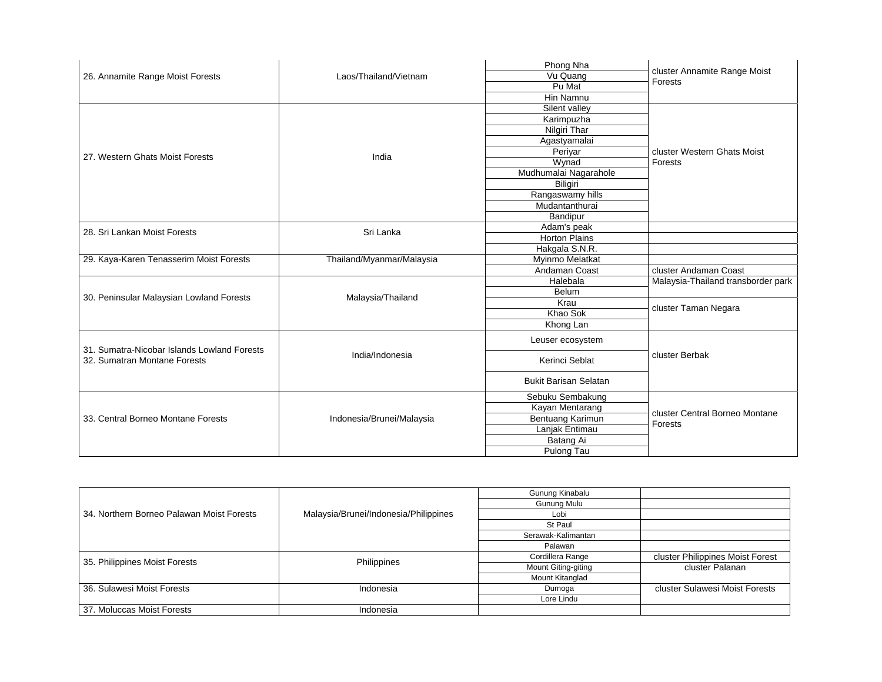|                                             |                           | Phong Nha                    |                                           |
|---------------------------------------------|---------------------------|------------------------------|-------------------------------------------|
| 26. Annamite Range Moist Forests            | Laos/Thailand/Vietnam     | Vu Quang                     | cluster Annamite Range Moist<br>Forests   |
|                                             |                           | Pu Mat                       |                                           |
|                                             |                           | Hin Namnu                    |                                           |
|                                             |                           | Silent valley                |                                           |
|                                             |                           | Karimpuzha                   |                                           |
|                                             |                           | <b>Nilgiri Thar</b>          |                                           |
|                                             |                           | Agastyamalai                 |                                           |
| 27. Western Ghats Moist Forests             | India                     | Periyar                      | cluster Western Ghats Moist               |
|                                             |                           | Wynad                        | Forests                                   |
|                                             |                           | Mudhumalai Nagarahole        |                                           |
|                                             |                           | Biligiri                     |                                           |
|                                             |                           | Rangaswamy hills             |                                           |
|                                             |                           | Mudantanthurai               |                                           |
|                                             |                           | Bandipur                     |                                           |
|                                             |                           | Adam's peak                  |                                           |
| 28. Sri Lankan Moist Forests                | Sri Lanka                 | <b>Horton Plains</b>         |                                           |
|                                             |                           | Hakgala S.N.R.               |                                           |
| 29. Kaya-Karen Tenasserim Moist Forests     | Thailand/Myanmar/Malaysia | Myinmo Melatkat              |                                           |
|                                             |                           | Andaman Coast                | cluster Andaman Coast                     |
|                                             |                           | Halebala                     | Malaysia-Thailand transborder park        |
|                                             |                           | Belum                        |                                           |
| 30. Peninsular Malaysian Lowland Forests    | Malaysia/Thailand         | Krau                         |                                           |
|                                             |                           | Khao Sok                     | cluster Taman Negara                      |
|                                             |                           | Khong Lan                    |                                           |
|                                             |                           |                              |                                           |
| 31. Sumatra-Nicobar Islands Lowland Forests |                           | Leuser ecosystem             |                                           |
| 32. Sumatran Montane Forests                | India/Indonesia           | Kerinci Seblat               | cluster Berbak                            |
|                                             |                           | <b>Bukit Barisan Selatan</b> |                                           |
|                                             |                           | Sebuku Sembakung             |                                           |
|                                             |                           | Kayan Mentarang              |                                           |
| 33. Central Borneo Montane Forests          | Indonesia/Brunei/Malaysia | Bentuang Karimun             | cluster Central Borneo Montane<br>Forests |
|                                             |                           | Lanjak Entimau               |                                           |
|                                             |                           | Batang Ai                    |                                           |
|                                             |                           | Pulong Tau                   |                                           |

|                                           |                                       | Gunung Kinabalu     |                                  |
|-------------------------------------------|---------------------------------------|---------------------|----------------------------------|
|                                           |                                       | Gunung Mulu         |                                  |
| 34. Northern Borneo Palawan Moist Forests | Malaysia/Brunei/Indonesia/Philippines | Lobi                |                                  |
|                                           |                                       | St Paul             |                                  |
|                                           |                                       | Serawak-Kalimantan  |                                  |
|                                           |                                       | Palawan             |                                  |
| 35. Philippines Moist Forests             | Philippines                           | Cordillera Range    | cluster Philippines Moist Forest |
|                                           |                                       | Mount Giting-giting | cluster Palanan                  |
|                                           |                                       | Mount Kitanglad     |                                  |
| 36. Sulawesi Moist Forests                | Indonesia                             | Dumoga              | cluster Sulawesi Moist Forests   |
|                                           |                                       | Lore Lindu          |                                  |
| 37. Moluccas Moist Forests                | Indonesia                             |                     |                                  |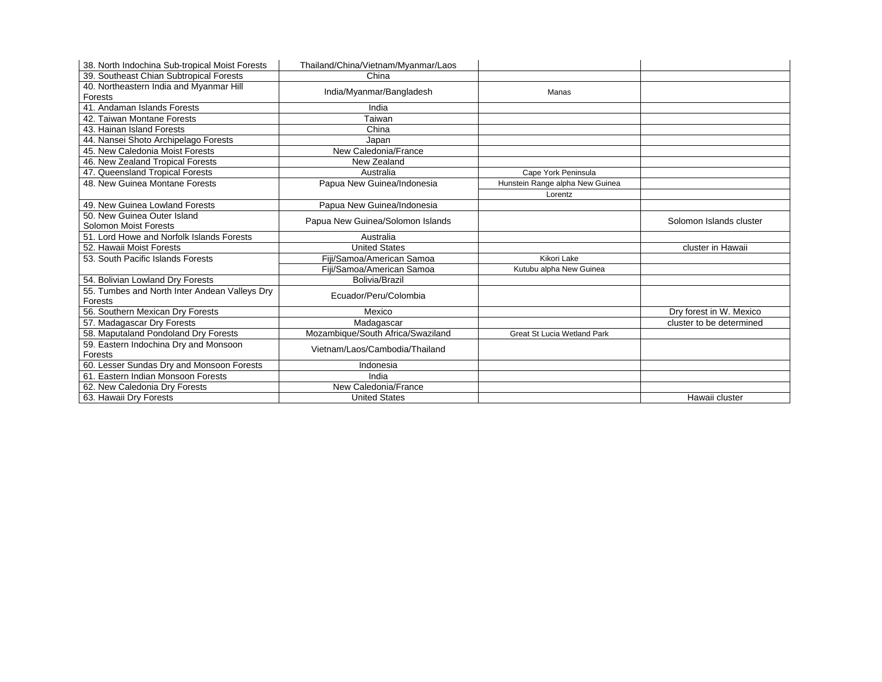| 38. North Indochina Sub-tropical Moist Forests | Thailand/China/Vietnam/Myanmar/Laos |                                    |                          |
|------------------------------------------------|-------------------------------------|------------------------------------|--------------------------|
| 39. Southeast Chian Subtropical Forests        | China                               |                                    |                          |
| 40. Northeastern India and Myanmar Hill        |                                     | Manas                              |                          |
| Forests                                        | India/Myanmar/Bangladesh            |                                    |                          |
| 41. Andaman Islands Forests                    | India                               |                                    |                          |
| 42. Taiwan Montane Forests                     | Taiwan                              |                                    |                          |
| 43. Hainan Island Forests                      | China                               |                                    |                          |
| 44. Nansei Shoto Archipelago Forests           | Japan                               |                                    |                          |
| 45. New Caledonia Moist Forests                | New Caledonia/France                |                                    |                          |
| 46. New Zealand Tropical Forests               | New Zealand                         |                                    |                          |
| 47. Queensland Tropical Forests                | Australia                           | Cape York Peninsula                |                          |
| 48. New Guinea Montane Forests                 | Papua New Guinea/Indonesia          | Hunstein Range alpha New Guinea    |                          |
|                                                |                                     | Lorentz                            |                          |
| 49. New Guinea Lowland Forests                 | Papua New Guinea/Indonesia          |                                    |                          |
| 50. New Guinea Outer Island                    |                                     |                                    | Solomon Islands cluster  |
| Solomon Moist Forests                          | Papua New Guinea/Solomon Islands    |                                    |                          |
| 51. Lord Howe and Norfolk Islands Forests      | Australia                           |                                    |                          |
| 52. Hawaii Moist Forests                       | <b>United States</b>                |                                    | cluster in Hawaii        |
| 53. South Pacific Islands Forests              | Fiji/Samoa/American Samoa           | Kikori Lake                        |                          |
|                                                | Fiji/Samoa/American Samoa           | Kutubu alpha New Guinea            |                          |
| 54. Bolivian Lowland Dry Forests               | <b>Bolivia/Brazil</b>               |                                    |                          |
| 55. Tumbes and North Inter Andean Valleys Dry  | Ecuador/Peru/Colombia               |                                    |                          |
| Forests                                        |                                     |                                    |                          |
| 56. Southern Mexican Dry Forests               | Mexico                              |                                    | Dry forest in W. Mexico  |
| 57. Madagascar Dry Forests                     | Madagascar                          |                                    | cluster to be determined |
| 58. Maputaland Pondoland Dry Forests           | Mozambique/South Africa/Swaziland   | <b>Great St Lucia Wetland Park</b> |                          |
| 59. Eastern Indochina Dry and Monsoon          | Vietnam/Laos/Cambodia/Thailand      |                                    |                          |
| Forests                                        |                                     |                                    |                          |
|                                                |                                     |                                    |                          |
| 60. Lesser Sundas Dry and Monsoon Forests      | Indonesia                           |                                    |                          |
| 61. Eastern Indian Monsoon Forests             | India                               |                                    |                          |
| 62. New Caledonia Dry Forests                  | New Caledonia/France                |                                    |                          |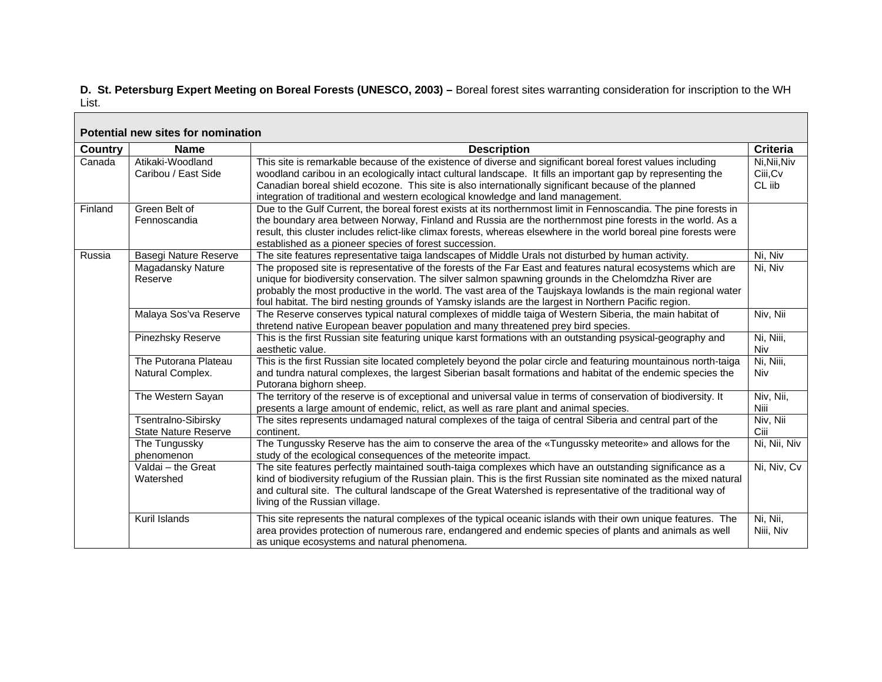### **D. St. Petersburg Expert Meeting on Boreal Forests (UNESCO, 2003) –** Boreal forest sites warranting consideration for inscription to the WH List.

 $\blacksquare$ 

| Potential new sites for nomination |                                                    |                                                                                                                                                                                                                                                                                                                                                                                                                                               |                                    |  |  |
|------------------------------------|----------------------------------------------------|-----------------------------------------------------------------------------------------------------------------------------------------------------------------------------------------------------------------------------------------------------------------------------------------------------------------------------------------------------------------------------------------------------------------------------------------------|------------------------------------|--|--|
| <b>Country</b>                     | <b>Name</b>                                        | <b>Description</b>                                                                                                                                                                                                                                                                                                                                                                                                                            | <b>Criteria</b>                    |  |  |
| Canada                             | Atikaki-Woodland<br>Caribou / East Side            | This site is remarkable because of the existence of diverse and significant boreal forest values including<br>woodland caribou in an ecologically intact cultural landscape. It fills an important gap by representing the<br>Canadian boreal shield ecozone. This site is also internationally significant because of the planned<br>integration of traditional and western ecological knowledge and land management.                        | Ni, Nii, Niv<br>Ciii, Cv<br>CL iib |  |  |
| Finland                            | Green Belt of<br>Fennoscandia                      | Due to the Gulf Current, the boreal forest exists at its northernmost limit in Fennoscandia. The pine forests in<br>the boundary area between Norway, Finland and Russia are the northernmost pine forests in the world. As a<br>result, this cluster includes relict-like climax forests, whereas elsewhere in the world boreal pine forests were<br>established as a pioneer species of forest succession.                                  |                                    |  |  |
| Russia                             | Basegi Nature Reserve                              | The site features representative taiga landscapes of Middle Urals not disturbed by human activity.                                                                                                                                                                                                                                                                                                                                            | Ni, Niv                            |  |  |
|                                    | Magadansky Nature<br>Reserve                       | The proposed site is representative of the forests of the Far East and features natural ecosystems which are<br>unique for biodiversity conservation. The silver salmon spawning grounds in the Chelomdzha River are<br>probably the most productive in the world. The vast area of the Taujskaya lowlands is the main regional water<br>foul habitat. The bird nesting grounds of Yamsky islands are the largest in Northern Pacific region. | Ni, Niv                            |  |  |
|                                    | Malaya Sos'va Reserve                              | The Reserve conserves typical natural complexes of middle taiga of Western Siberia, the main habitat of<br>thretend native European beaver population and many threatened prey bird species.                                                                                                                                                                                                                                                  | Niv, Nii                           |  |  |
|                                    | Pinezhsky Reserve                                  | This is the first Russian site featuring unique karst formations with an outstanding psysical-geography and<br>aesthetic value.                                                                                                                                                                                                                                                                                                               | Ni, Niii,<br>Niv                   |  |  |
|                                    | The Putorana Plateau<br>Natural Complex.           | This is the first Russian site located completely beyond the polar circle and featuring mountainous north-taiga<br>and tundra natural complexes, the largest Siberian basalt formations and habitat of the endemic species the<br>Putorana bighorn sheep.                                                                                                                                                                                     | Ni, Niii,<br>Niv                   |  |  |
|                                    | The Western Sayan                                  | The territory of the reserve is of exceptional and universal value in terms of conservation of biodiversity. It<br>presents a large amount of endemic, relict, as well as rare plant and animal species.                                                                                                                                                                                                                                      | Niv, Nii,<br>Niii                  |  |  |
|                                    | Tsentralno-Sibirsky<br><b>State Nature Reserve</b> | The sites represents undamaged natural complexes of the taiga of central Siberia and central part of the<br>continent.                                                                                                                                                                                                                                                                                                                        | Niv, Nii<br>Ciii                   |  |  |
|                                    | The Tungussky<br>phenomenon                        | The Tungussky Reserve has the aim to conserve the area of the «Tungussky meteorite» and allows for the<br>study of the ecological consequences of the meteorite impact.                                                                                                                                                                                                                                                                       | Ni, Nii, Niv                       |  |  |
|                                    | Valdai - the Great<br>Watershed                    | The site features perfectly maintained south-taiga complexes which have an outstanding significance as a<br>kind of biodiversity refugium of the Russian plain. This is the first Russian site nominated as the mixed natural<br>and cultural site. The cultural landscape of the Great Watershed is representative of the traditional way of<br>living of the Russian village.                                                               | Ni, Niv, Cv                        |  |  |
|                                    | Kuril Islands                                      | This site represents the natural complexes of the typical oceanic islands with their own unique features. The<br>area provides protection of numerous rare, endangered and endemic species of plants and animals as well<br>as unique ecosystems and natural phenomena.                                                                                                                                                                       | Ni, Nii,<br>Niii, Niv              |  |  |